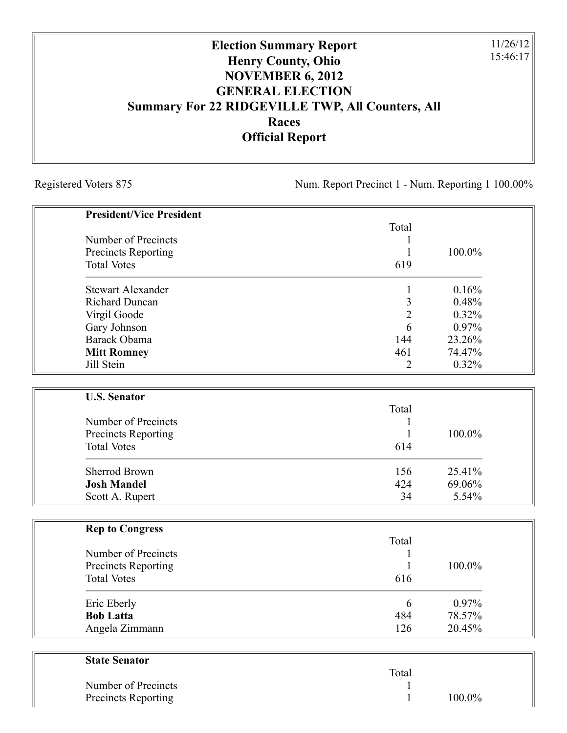## **Election Summary Report Henry County, Ohio NOVEMBER 6, 2012 GENERAL ELECTION Summary For 22 RIDGEVILLE TWP, All Counters, All Races Official Report**

Registered Voters 875 Num. Report Precinct 1 - Num. Reporting 1 100.00%

11/26/12 15:46:17

| <b>President/Vice President</b>                  |                |        |
|--------------------------------------------------|----------------|--------|
|                                                  | Total          |        |
| Number of Precincts                              |                |        |
| Precincts Reporting                              |                | 100.0% |
| <b>Total Votes</b>                               | 619            |        |
| <b>Stewart Alexander</b>                         | 1              | 0.16%  |
| <b>Richard Duncan</b>                            | 3              | 0.48%  |
| Virgil Goode                                     | $\overline{2}$ | 0.32%  |
| Gary Johnson                                     | 6              | 0.97%  |
| Barack Obama                                     | 144            | 23.26% |
| <b>Mitt Romney</b>                               | 461            | 74.47% |
| Jill Stein                                       | $\overline{2}$ | 0.32%  |
|                                                  |                |        |
| <b>U.S. Senator</b>                              |                |        |
|                                                  | Total          |        |
| Number of Precincts                              |                |        |
| <b>Precincts Reporting</b>                       | 1              | 100.0% |
| <b>Total Votes</b>                               | 614            |        |
| <b>Sherrod Brown</b>                             | 156            | 25.41% |
| <b>Josh Mandel</b>                               | 424            | 69.06% |
| Scott A. Rupert                                  | 34             | 5.54%  |
|                                                  |                |        |
| <b>Rep to Congress</b>                           | Total          |        |
| Number of Precincts                              | 1              |        |
|                                                  | 1              | 100.0% |
| <b>Precincts Reporting</b><br><b>Total Votes</b> | 616            |        |
|                                                  |                |        |
| Eric Eberly                                      | 6              | 0.97%  |
| <b>Bob Latta</b>                                 | 484            | 78.57% |
| Angela Zimmann                                   | 126            | 20.45% |

| <b>State Senator</b> |       |           |
|----------------------|-------|-----------|
|                      | Total |           |
| Number of Precincts  |       |           |
| Precincts Reporting  |       | $100.0\%$ |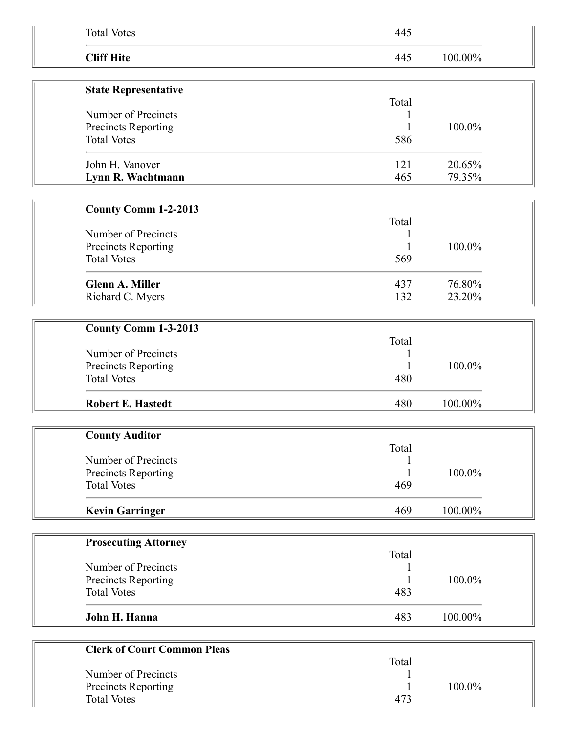| <b>Total Votes</b>                         | 445        |                  |  |
|--------------------------------------------|------------|------------------|--|
| <b>Cliff Hite</b>                          | 445        | 100.00%          |  |
| <b>State Representative</b>                |            |                  |  |
|                                            | Total      |                  |  |
| Number of Precincts                        |            |                  |  |
| Precincts Reporting                        |            | 100.0%           |  |
| <b>Total Votes</b>                         | 586        |                  |  |
| John H. Vanover                            | 121        | 20.65%           |  |
| Lynn R. Wachtmann                          | 465        | 79.35%           |  |
|                                            |            |                  |  |
| County Comm 1-2-2013                       | Total      |                  |  |
| Number of Precincts                        |            |                  |  |
| Precincts Reporting                        |            | 100.0%           |  |
| <b>Total Votes</b>                         | 569        |                  |  |
|                                            |            |                  |  |
| <b>Glenn A. Miller</b><br>Richard C. Myers | 437<br>132 | 76.80%<br>23.20% |  |
|                                            |            |                  |  |
| County Comm 1-3-2013                       |            |                  |  |
|                                            | Total      |                  |  |
| Number of Precincts                        |            |                  |  |
| Precincts Reporting                        |            | 100.0%           |  |
| <b>Total Votes</b>                         | 480        |                  |  |
| <b>Robert E. Hastedt</b>                   | 480        | 100.00%          |  |
|                                            |            |                  |  |
| <b>County Auditor</b>                      | Total      |                  |  |
| Number of Precincts                        |            |                  |  |
| Precincts Reporting                        |            | 100.0%           |  |
| <b>Total Votes</b>                         | 469        |                  |  |
| <b>Kevin Garringer</b>                     | 469        | 100.00%          |  |
|                                            |            |                  |  |
| <b>Prosecuting Attorney</b>                |            |                  |  |
| Number of Precincts                        | Total      |                  |  |
| Precincts Reporting                        |            | 100.0%           |  |
| <b>Total Votes</b>                         | 483        |                  |  |
|                                            |            |                  |  |
| John H. Hanna                              | 483        | 100.00%          |  |
| <b>Clerk of Court Common Pleas</b>         |            |                  |  |
|                                            | Total      |                  |  |
| Number of Precincts                        |            |                  |  |
| Precincts Reporting                        |            | 100.0%           |  |
| <b>Total Votes</b>                         | 473        |                  |  |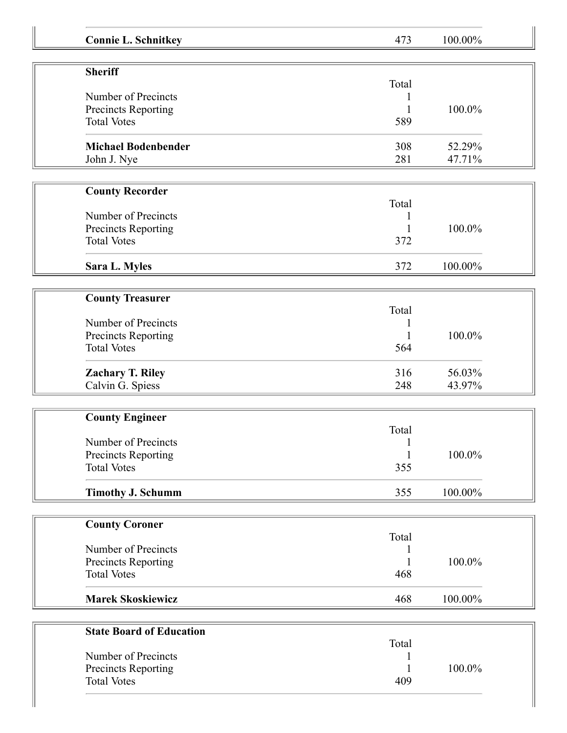| <b>Connie L. Schnitkey</b>      | 473   | 100.00% |
|---------------------------------|-------|---------|
| <b>Sheriff</b>                  |       |         |
|                                 | Total |         |
| Number of Precincts             |       |         |
| Precincts Reporting             |       | 100.0%  |
| <b>Total Votes</b>              | 589   |         |
| <b>Michael Bodenbender</b>      | 308   | 52.29%  |
| John J. Nye                     | 281   | 47.71%  |
| <b>County Recorder</b>          |       |         |
|                                 | Total |         |
| Number of Precincts             |       |         |
| Precincts Reporting             |       | 100.0%  |
| <b>Total Votes</b>              | 372   |         |
| Sara L. Myles                   | 372   | 100.00% |
|                                 |       |         |
| <b>County Treasurer</b>         |       |         |
|                                 | Total |         |
| Number of Precincts             |       |         |
| Precincts Reporting             | 1     | 100.0%  |
| <b>Total Votes</b>              | 564   |         |
| <b>Zachary T. Riley</b>         | 316   | 56.03%  |
| Calvin G. Spiess                | 248   | 43.97%  |
| <b>County Engineer</b>          |       |         |
|                                 | Total |         |
| Number of Precincts             |       |         |
| Precincts Reporting             |       | 100.0%  |
| <b>Total Votes</b>              | 355   |         |
| <b>Timothy J. Schumm</b>        | 355   | 100.00% |
|                                 |       |         |
| <b>County Coroner</b>           | Total |         |
| Number of Precincts             |       |         |
| Precincts Reporting             |       | 100.0%  |
|                                 | 468   |         |
| <b>Total Votes</b>              |       |         |
| <b>Marek Skoskiewicz</b>        | 468   | 100.00% |
|                                 |       |         |
| <b>State Board of Education</b> | Total |         |
| Number of Precincts             |       |         |
| Precincts Reporting             |       | 100.0%  |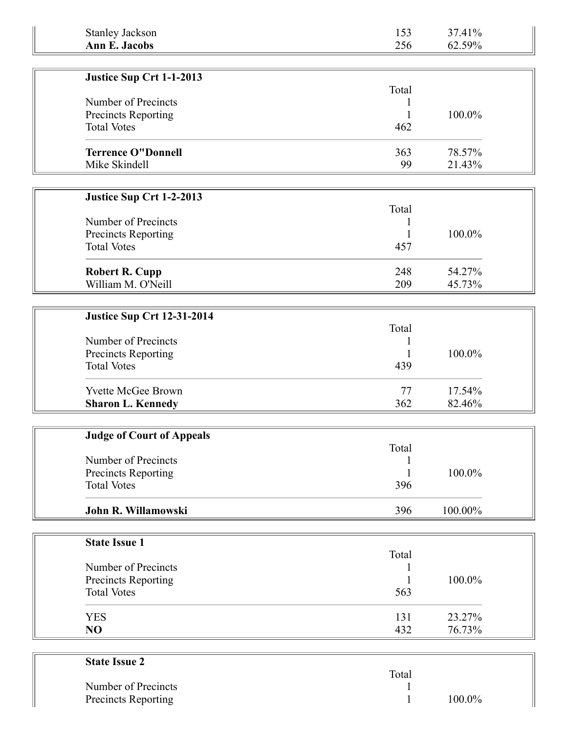| <b>Stanley Jackson</b>                    | 153        | 37.41%           |
|-------------------------------------------|------------|------------------|
| <b>Ann E. Jacobs</b>                      | 256        | 62.59%           |
|                                           |            |                  |
| Justice Sup Crt 1-1-2013                  |            |                  |
| Number of Precincts                       | Total      |                  |
| Precincts Reporting                       |            | 100.0%           |
| <b>Total Votes</b>                        | 462        |                  |
|                                           |            |                  |
| <b>Terrence O"Donnell</b>                 | 363        | 78.57%           |
| Mike Skindell                             | 99         | 21.43%           |
|                                           |            |                  |
| Justice Sup Crt 1-2-2013                  |            |                  |
|                                           | Total      |                  |
| Number of Precincts                       | 1          |                  |
| Precincts Reporting<br><b>Total Votes</b> | 1<br>457   | 100.0%           |
|                                           |            |                  |
| <b>Robert R. Cupp</b>                     | 248        | 54.27%           |
| William M. O'Neill                        | 209        | 45.73%           |
|                                           |            |                  |
| <b>Justice Sup Crt 12-31-2014</b>         |            |                  |
|                                           | Total      |                  |
| Number of Precincts                       |            |                  |
| Precincts Reporting                       |            | 100.0%           |
| <b>Total Votes</b>                        | 439        |                  |
| <b>Yvette McGee Brown</b>                 | 77         | 17.54%           |
| <b>Sharon L. Kennedy</b>                  | 362        | 82.46%           |
|                                           |            |                  |
| <b>Judge of Court of Appeals</b>          |            |                  |
|                                           | Total      |                  |
| Number of Precincts                       |            |                  |
| Precincts Reporting                       | 1          | 100.0%           |
| <b>Total Votes</b>                        | 396        |                  |
| John R. Willamowski                       | 396        | 100.00%          |
|                                           |            |                  |
| <b>State Issue 1</b>                      |            |                  |
|                                           | Total      |                  |
| Number of Precincts                       |            |                  |
| Precincts Reporting                       |            | 100.0%           |
| <b>Total Votes</b>                        | 563        |                  |
|                                           |            |                  |
| <b>YES</b><br>NO                          | 131<br>432 | 23.27%<br>76.73% |
|                                           |            |                  |
|                                           |            |                  |
| <b>State Issue 2</b>                      |            |                  |

| Total |        |
|-------|--------|
|       |        |
|       | 100.0% |
|       |        |